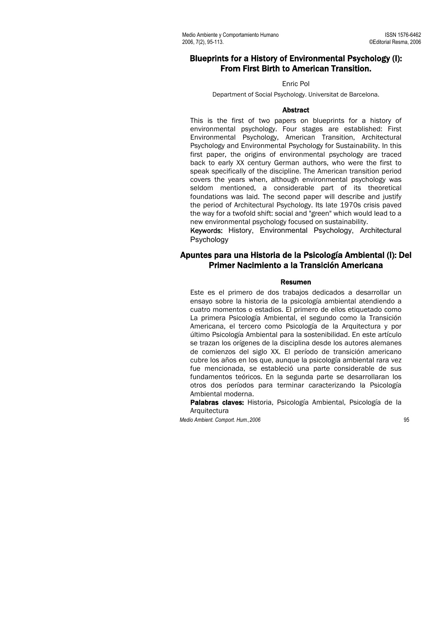# Blueprints for a History of Environmental Psychology (I): From First Birth to American Transition.

#### Enric Pol

Department of Social Psychology. Universitat de Barcelona.

# Abstract

This is the first of two papers on blueprints for a history of environmental psychology. Four stages are established: First Environmental Psychology, American Transition, Architectural Psychology and Environmental Psychology for Sustainability. In this first paper, the origins of environmental psychology are traced back to early XX century German authors, who were the first to speak specifically of the discipline. The American transition period covers the years when, although environmental psychology was seldom mentioned, a considerable part of its theoretical foundations was laid. The second paper will describe and justify the period of Architectural Psychology. Its late 1970s crisis paved the way for a twofold shift: social and "green" which would lead to a new environmental psychology focused on sustainability.

Keywords: History, Environmental Psychology, Architectural Psychology

# Apuntes para una Historia de la Psicología Ambiental (I): Del Primer Nacimiento a la Transición Americana

# Resumen

Este es el primero de dos trabajos dedicados a desarrollar un ensayo sobre la historia de la psicología ambiental atendiendo a cuatro momentos o estadios. El primero de ellos etiquetado como La primera Psicología Ambiental, el segundo como la Transición Americana, el tercero como Psicología de la Arquitectura y por último Psicología Ambiental para la sostenibilidad. En este artículo se trazan los orígenes de la disciplina desde los autores alemanes de comienzos del siglo XX. El período de transición americano cubre los años en los que, aunque la psicología ambiental rara vez fue mencionada, se estableció una parte considerable de sus fundamentos teóricos. En la segunda parte se desarrollaran los otros dos períodos para terminar caracterizando la Psicología Ambiental moderna.

Palabras claves: Historia, Psicología Ambiental, Psicología de la Arquitectura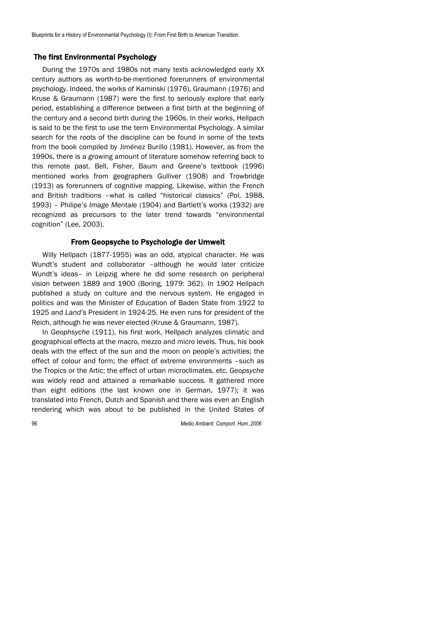# The first Environmental Psychology

During the 1970s and 1980s not many texts acknowledged early XX century authors as worth-to-be-mentioned forerunners of environmental psychology. Indeed, the works of Kaminski (1976), Graumann (1976) and Kruse & Graumann (1987) were the first to seriously explore that early period, establishing a difference between a first birth at the beginning of the century and a second birth during the 1960s. In their works, Hellpach is said to be the first to use the term Environmental Psychology. A similar search for the roots of the discipline can be found in some of the texts from the book compiled by Jiménez Burillo (1981). However, as from the 1990s, there is a growing amount of literature somehow referring back to this remote past. Bell, Fisher, Baum and Greene's textbook (1996) mentioned works from geographers Gulliver (1908) and Trowbridge (1913) as forerunners of cognitive mapping. Likewise, within the French and British traditions –what is called "historical classics" (Pol, 1988, 1993) – Philipe's *Image Mentale* (1904) and Bartlett's works (1932) are recognized as precursors to the later trend towards "environmental cognition" (Lee, 2003).

# From Geopsyche to Psychologie der Umwelt

Willy Hellpach (1877-1955) was an odd, atypical character. He was Wundt's student and collaborator –although he would later criticize Wundt's ideas– in Leipzig where he did some research on peripheral vision between 1889 and 1900 (Boring, 1979: 362). In 1902 Hellpach published a study on culture and the nervous system. He engaged in politics and was the Minister of Education of Baden State from 1922 to 1925 and *Land'*s President in 1924-25. He even runs for president of the Reich, although he was never elected (Kruse & Graumann, 1987).

In *Geophsyche* (1911), his first work, Hellpach analyzes climatic and geographical effects at the macro, mezzo and micro levels. Thus, his book deals with the effect of the sun and the moon on people's activities; the effect of colour and form; the effect of extreme environments –such as the Tropics or the Artic; the effect of urban microclimates, etc. *Geopsyche* was widely read and attained a remarkable success. It gathered more than eight editions (the last known one in German, 1977); it was translated into French, Dutch and Spanish and there was even an English rendering which was about to be published in the United States of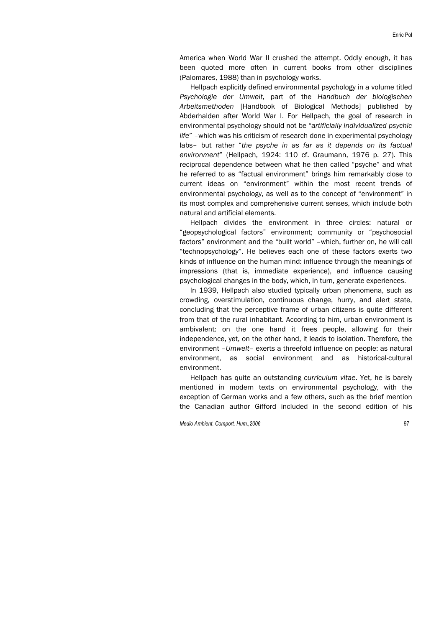America when World War II crushed the attempt. Oddly enough, it has been quoted more often in current books from other disciplines (Palomares, 1988) than in psychology works.

Hellpach explicitly defined environmental psychology in a volume titled *Psychologie der Umwelt*, part of the *Handbuch der biologischen Arbeitsmethoden* [Handbook of Biological Methods] published by Abderhalden after World War I. For Hellpach, the goal of research in environmental psychology should not be "*artificially individualized psychic life*" –which was his criticism of research done in experimental psychology labs– but rather "*the psyche in as far as it depends on its factual environment*" (Hellpach, 1924: 110 cf. Graumann, 1976 p. 27). This reciprocal dependence between what he then called "psyche" and what he referred to as "factual environment" brings him remarkably close to current ideas on "environment" within the most recent trends of environmental psychology, as well as to the concept of "environment" in its most complex and comprehensive current senses, which include both natural and artificial elements.

Hellpach divides the environment in three circles: natural or "geopsychological factors" environment; community or "psychosocial factors" environment and the "built world" –which, further on, he will call "technopsychology". He believes each one of these factors exerts two kinds of influence on the human mind: influence through the meanings of impressions (that is, immediate experience), and influence causing psychological changes in the body, which, in turn, generate experiences.

In 1939, Hellpach also studied typically urban phenomena, such as crowding, overstimulation, continuous change, hurry, and alert state, concluding that the perceptive frame of urban citizens is quite different from that of the rural inhabitant. According to him, urban environment is ambivalent: on the one hand it frees people, allowing for their independence, yet, on the other hand, it leads to isolation. Therefore, the environment –*Umwelt*– exerts a threefold influence on people: as natural environment, as social environment and as historical-cultural environment.

Hellpach has quite an outstanding *curriculum vitae*. Yet, he is barely mentioned in modern texts on environmental psychology, with the exception of German works and a few others, such as the brief mention the Canadian author Gifford included in the second edition of his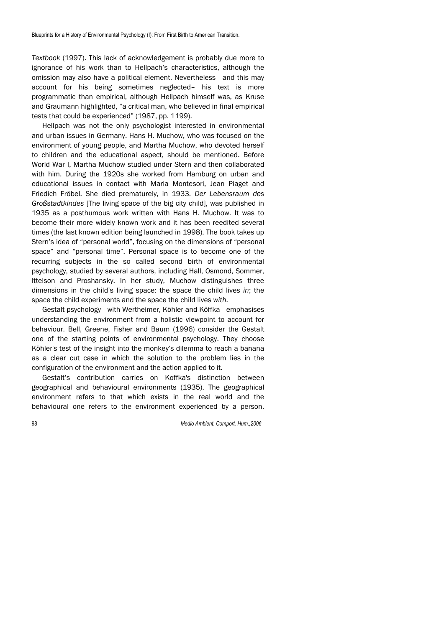*Textbook* (1997). This lack of acknowledgement is probably due more to ignorance of his work than to Hellpach's characteristics, although the omission may also have a political element. Nevertheless –and this may account for his being sometimes neglected– his text is more programmatic than empirical, although Hellpach himself was, as Kruse and Graumann highlighted, "a critical man, who believed in final empirical tests that could be experienced" (1987, pp. 1199).

Hellpach was not the only psychologist interested in environmental and urban issues in Germany. Hans H. Muchow, who was focused on the environment of young people, and Martha Muchow, who devoted herself to children and the educational aspect, should be mentioned. Before World War I, Martha Muchow studied under Stern and then collaborated with him. During the 1920s she worked from Hamburg on urban and educational issues in contact with Maria Montesori, Jean Piaget and Friedich Fröbel. She died prematurely, in 1933. *Der Lebensraum des Großstadtkindes* [The living space of the big city child], was published in 1935 as a posthumous work written with Hans H. Muchow. It was to become their more widely known work and it has been reedited several times (the last known edition being launched in 1998). The book takes up Stern's idea of "personal world", focusing on the dimensions of "personal space" and "personal time". Personal space is to become one of the recurring subjects in the so called second birth of environmental psychology, studied by several authors, including Hall, Osmond, Sommer, Ittelson and Proshansky. In her study, Muchow distinguishes three dimensions in the child's living space: the space the child lives *in*; the space the child experiments and the space the child lives *with*.

Gestalt psychology –with Wertheimer, Köhler and Köffka– emphasises understanding the environment from a holistic viewpoint to account for behaviour. Bell, Greene, Fisher and Baum (1996) consider the Gestalt one of the starting points of environmental psychology. They choose Köhler's test of the insight into the monkey's dilemma to reach a banana as a clear cut case in which the solution to the problem lies in the configuration of the environment and the action applied to it.

Gestalt's contribution carries on Koffka's distinction between geographical and behavioural environments (1935). The geographical environment refers to that which exists in the real world and the behavioural one refers to the environment experienced by a person.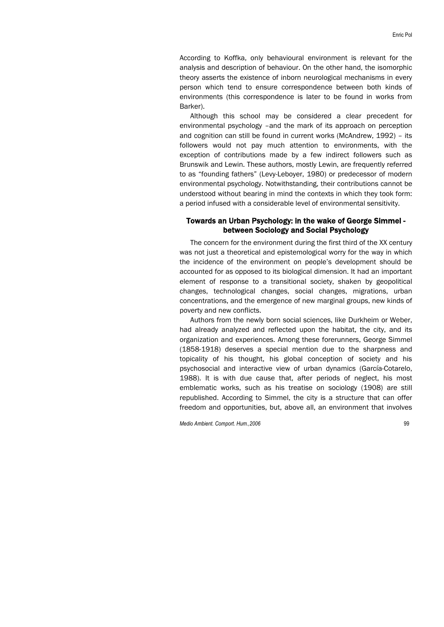According to Koffka, only behavioural environment is relevant for the analysis and description of behaviour. On the other hand, the isomorphic theory asserts the existence of inborn neurological mechanisms in every person which tend to ensure correspondence between both kinds of environments (this correspondence is later to be found in works from Barker).

Although this school may be considered a clear precedent for environmental psychology –and the mark of its approach on perception and cognition can still be found in current works (McAndrew, 1992) – its followers would not pay much attention to environments, with the exception of contributions made by a few indirect followers such as Brunswik and Lewin. These authors, mostly Lewin, are frequently referred to as "founding fathers" (Levy-Leboyer, 1980) or predecessor of modern environmental psychology. Notwithstanding, their contributions cannot be understood without bearing in mind the contexts in which they took form: a period infused with a considerable level of environmental sensitivity.

# Towards an Urban Psychology: in the wake of George Simmel between Sociology and Social Psychology

The concern for the environment during the first third of the XX century was not just a theoretical and epistemological worry for the way in which the incidence of the environment on people's development should be accounted for as opposed to its biological dimension. It had an important element of response to a transitional society, shaken by geopolitical changes, technological changes, social changes, migrations, urban concentrations, and the emergence of new marginal groups, new kinds of poverty and new conflicts.

Authors from the newly born social sciences, like Durkheim or Weber, had already analyzed and reflected upon the habitat, the city, and its organization and experiences. Among these forerunners, George Simmel (1858-1918) deserves a special mention due to the sharpness and topicality of his thought, his global conception of society and his psychosocial and interactive view of urban dynamics (García-Cotarelo, 1988). It is with due cause that, after periods of neglect, his most emblematic works, such as his treatise on sociology (1908) are still republished. According to Simmel, the city is a structure that can offer freedom and opportunities, but, above all, an environment that involves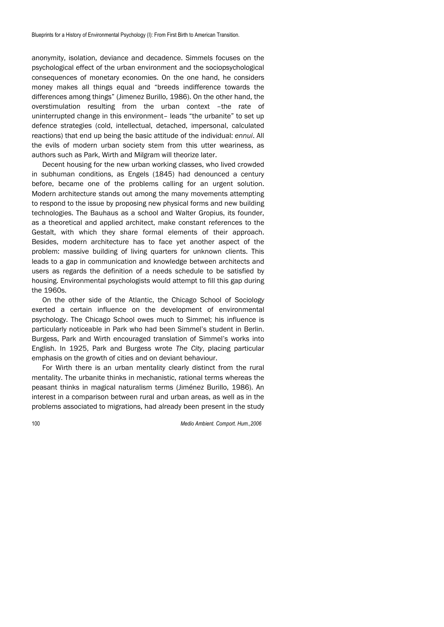anonymity, isolation, deviance and decadence. Simmels focuses on the psychological effect of the urban environment and the sociopsychological consequences of monetary economies. On the one hand, he considers money makes all things equal and "breeds indifference towards the differences among things" (Jimenez Burillo, 1986). On the other hand, the overstimulation resulting from the urban context –the rate of uninterrupted change in this environment– leads "the urbanite" to set up defence strategies (cold, intellectual, detached, impersonal, calculated reactions) that end up being the basic attitude of the individual: *ennui*. All the evils of modern urban society stem from this utter weariness, as authors such as Park, Wirth and Milgram will theorize later.

Decent housing for the new urban working classes, who lived crowded in subhuman conditions, as Engels (1845) had denounced a century before, became one of the problems calling for an urgent solution. Modern architecture stands out among the many movements attempting to respond to the issue by proposing new physical forms and new building technologies. The Bauhaus as a school and Walter Gropius, its founder, as a theoretical and applied architect, make constant references to the Gestalt, with which they share formal elements of their approach. Besides, modern architecture has to face yet another aspect of the problem: massive building of living quarters for unknown clients. This leads to a gap in communication and knowledge between architects and users as regards the definition of a needs schedule to be satisfied by housing. Environmental psychologists would attempt to fill this gap during the 1960s.

On the other side of the Atlantic, the Chicago School of Sociology exerted a certain influence on the development of environmental psychology. The Chicago School owes much to Simmel; his influence is particularly noticeable in Park who had been Simmel's student in Berlin. Burgess, Park and Wirth encouraged translation of Simmel's works into English. In 1925, Park and Burgess wrote *The City*, placing particular emphasis on the growth of cities and on deviant behaviour.

For Wirth there is an urban mentality clearly distinct from the rural mentality. The urbanite thinks in mechanistic, rational terms whereas the peasant thinks in magical naturalism terms (Jiménez Burillo, 1986). An interest in a comparison between rural and urban areas, as well as in the problems associated to migrations, had already been present in the study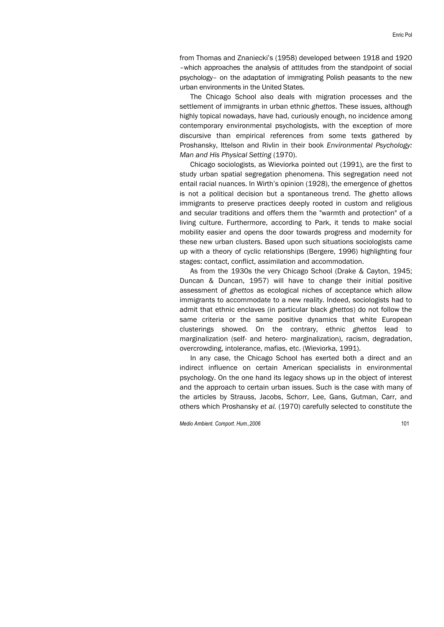from Thomas and Znaniecki's (1958) developed between 1918 and 1920 –which approaches the analysis of attitudes from the standpoint of social psychology– on the adaptation of immigrating Polish peasants to the new urban environments in the United States.

The Chicago School also deals with migration processes and the settlement of immigrants in urban ethnic *ghettos*. These issues, although highly topical nowadays, have had, curiously enough, no incidence among contemporary environmental psychologists, with the exception of more discursive than empirical references from some texts gathered by Proshansky, Ittelson and Rivlin in their book *Environmental Psychology: Man and His Physical Setting* (1970).

Chicago sociologists, as Wieviorka pointed out (1991), are the first to study urban spatial segregation phenomena. This segregation need not entail racial nuances. In Wirth's opinion (1928), the emergence of ghettos is not a political decision but a spontaneous trend. The ghetto allows immigrants to preserve practices deeply rooted in custom and religious and secular traditions and offers them the "warmth and protection" of a living culture. Furthermore, according to Park, it tends to make social mobility easier and opens the door towards progress and modernity for these new urban clusters. Based upon such situations sociologists came up with a theory of cyclic relationships (Bergere, 1996) highlighting four stages: contact, conflict, assimilation and accommodation.

As from the 1930s the very Chicago School (Drake & Cayton, 1945; Duncan & Duncan, 1957) will have to change their initial positive assessment of *ghettos* as ecological niches of acceptance which allow immigrants to accommodate to a new reality. Indeed, sociologists had to admit that ethnic enclaves (in particular black *ghettos*) do not follow the same criteria or the same positive dynamics that white European clusterings showed. On the contrary, ethnic *ghettos* lead to marginalization (self- and hetero- marginalization), racism, degradation, overcrowding, intolerance, mafias, etc. (Wieviorka, 1991).

In any case, the Chicago School has exerted both a direct and an indirect influence on certain American specialists in environmental psychology. On the one hand its legacy shows up in the object of interest and the approach to certain urban issues. Such is the case with many of the articles by Strauss, Jacobs, Schorr, Lee, Gans, Gutman, Carr, and others which Proshansky *et al.* (1970) carefully selected to constitute the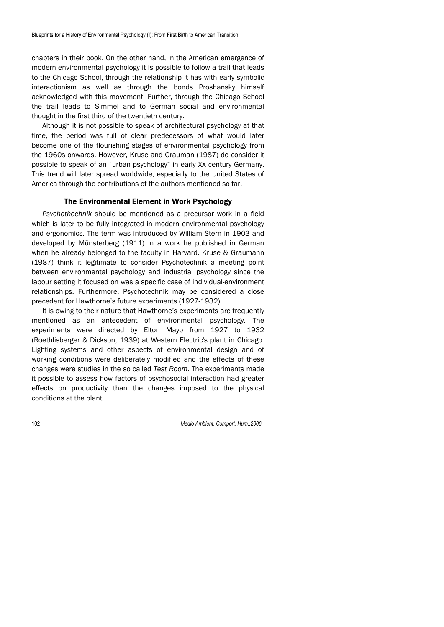chapters in their book. On the other hand, in the American emergence of modern environmental psychology it is possible to follow a trail that leads to the Chicago School, through the relationship it has with early symbolic interactionism as well as through the bonds Proshansky himself acknowledged with this movement. Further, through the Chicago School the trail leads to Simmel and to German social and environmental thought in the first third of the twentieth century.

Although it is not possible to speak of architectural psychology at that time, the period was full of clear predecessors of what would later become one of the flourishing stages of environmental psychology from the 1960s onwards. However, Kruse and Grauman (1987) do consider it possible to speak of an "urban psychology" in early XX century Germany. This trend will later spread worldwide, especially to the United States of America through the contributions of the authors mentioned so far.

# The Environmental Element in Work Psychology

*Psychothechnik* should be mentioned as a precursor work in a field which is later to be fully integrated in modern environmental psychology and ergonomics. The term was introduced by William Stern in 1903 and developed by Münsterberg (1911) in a work he published in German when he already belonged to the faculty in Harvard. Kruse & Graumann (1987) think it legitimate to consider Psychotechnik a meeting point between environmental psychology and industrial psychology since the labour setting it focused on was a specific case of individual-environment relationships. Furthermore, Psychotechnik may be considered a close precedent for Hawthorne's future experiments (1927-1932).

It is owing to their nature that Hawthorne's experiments are frequently mentioned as an antecedent of environmental psychology. The experiments were directed by Elton Mayo from 1927 to 1932 (Roethlisberger & Dickson, 1939) at Western Electric's plant in Chicago. Lighting systems and other aspects of environmental design and of working conditions were deliberately modified and the effects of these changes were studies in the so called *Test Room*. The experiments made it possible to assess how factors of psychosocial interaction had greater effects on productivity than the changes imposed to the physical conditions at the plant.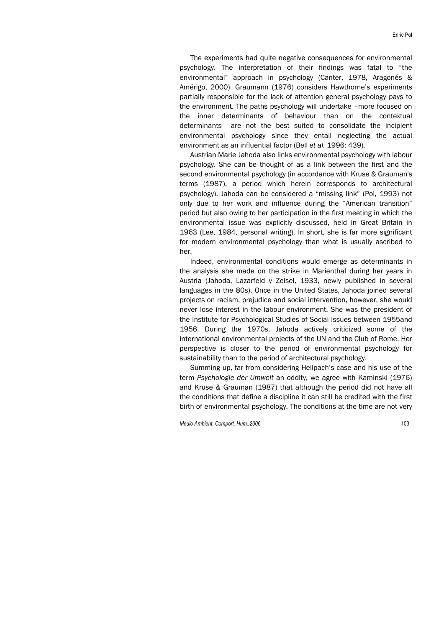Enric Pol

The experiments had quite negative consequences for environmental psychology. The interpretation of their findings was fatal to "the environmental" approach in psychology (Canter, 1978, Aragonés & Amérigo, 2000). Graumann (1976) considers Hawthorne's experiments partially responsible for the lack of attention general psychology pays to the environment. The paths psychology will undertake –more focused on the inner determinants of behaviour than on the contextual determinants– are not the best suited to consolidate the incipient environmental psychology since they entail neglecting the actual environment as an influential factor (Bell *et al.* 1996: 439).

Austrian Marie Jahoda also links environmental psychology with labour psychology. She can be thought of as a link between the first and the second environmental psychology (in accordance with Kruse & Grauman's terms (1987), a period which herein corresponds to architectural psychology). Jahoda can be considered a "missing link" (Pol, 1993) not only due to her work and influence during the "American transition" period but also owing to her participation in the first meeting in which the environmental issue was explicitly discussed, held in Great Britain in 1963 (Lee, 1984, personal writing). In short, she is far more significant for modern environmental psychology than what is usually ascribed to her.

Indeed, environmental conditions would emerge as determinants in the analysis she made on the strike in Marienthal during her years in Austria (Jahoda, Lazarfeld y Zeisel, 1933, newly published in several languages in the 80s). Once in the United States, Jahoda joined several projects on racism, prejudice and social intervention, however, she would never lose interest in the labour environment. She was the president of the Institute for Psychological Studies of Social Issues between 1955and 1956. During the 1970s, Jahoda actively criticized some of the international environmental projects of the UN and the Club of Rome. Her perspective is closer to the period of environmental psychology for sustainability than to the period of architectural psychology.

Summing up, far from considering Hellpach's case and his use of the term *Psychologie der Umwelt* an oddity, we agree with Kaminski (1976) and Kruse & Grauman (1987) that although the period did not have all the conditions that define a discipline it can still be credited with the first birth of environmental psychology. The conditions at the time are not very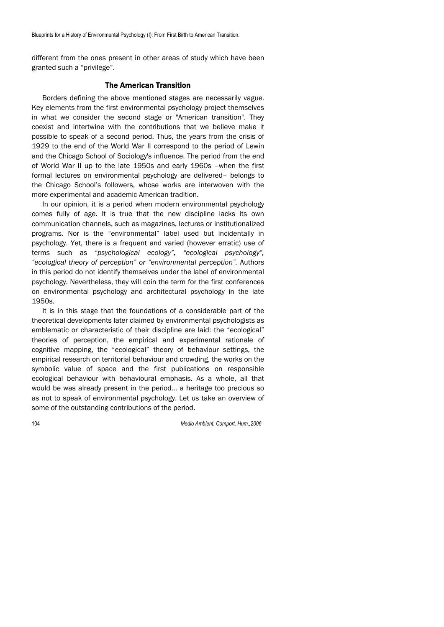different from the ones present in other areas of study which have been granted such a "privilege".

# The American Transition

Borders defining the above mentioned stages are necessarily vague. Key elements from the first environmental psychology project themselves in what we consider the second stage or "American transition". They coexist and intertwine with the contributions that we believe make it possible to speak of a second period. Thus, the years from the crisis of 1929 to the end of the World War II correspond to the period of Lewin and the Chicago School of Sociology's influence. The period from the end of World War II up to the late 1950s and early 1960s –when the first formal lectures on environmental psychology are delivered– belongs to the Chicago School's followers, whose works are interwoven with the more experimental and academic American tradition.

In our opinion, it is a period when modern environmental psychology comes fully of age. It is true that the new discipline lacks its own communication channels, such as magazines, lectures or institutionalized programs. Nor is the "environmental" label used but incidentally in psychology. Yet, there is a frequent and varied (however erratic) use of terms such as *"psychological ecology", "ecological psychology", "ecological theory of perception" or "environmental perception".* Authors in this period do not identify themselves under the label of environmental psychology. Nevertheless, they will coin the term for the first conferences on environmental psychology and architectural psychology in the late 1950s.

It is in this stage that the foundations of a considerable part of the theoretical developments later claimed by environmental psychologists as emblematic or characteristic of their discipline are laid: the "ecological" theories of perception, the empirical and experimental rationale of cognitive mapping, the "ecological" theory of behaviour settings, the empirical research on territorial behaviour and crowding, the works on the symbolic value of space and the first publications on responsible ecological behaviour with behavioural emphasis. As a whole, all that would be was already present in the period… a heritage too precious so as not to speak of environmental psychology. Let us take an overview of some of the outstanding contributions of the period.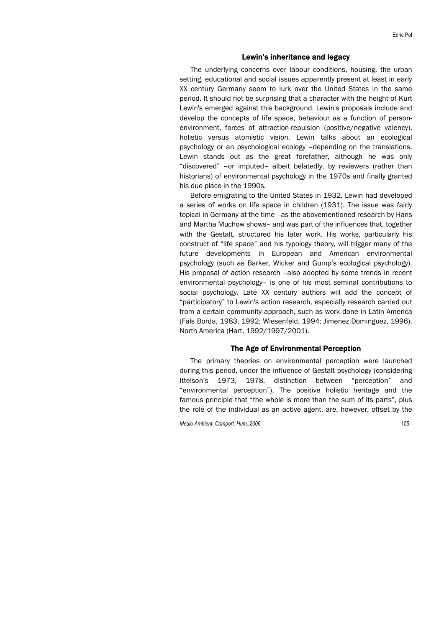#### Lewin's inheritance and legacy

The underlying concerns over labour conditions, housing, the urban setting, educational and social issues apparently present at least in early XX century Germany seem to lurk over the United States in the same period. It should not be surprising that a character with the height of Kurt Lewin's emerged against this background. Lewin's proposals include and develop the concepts of life space, behaviour as a function of personenvironment, forces of attraction-repulsion (positive/negative valency), holistic versus atomistic vision. Lewin talks about an ecological psychology or an psychological ecology –depending on the translations. Lewin stands out as the great forefather, although he was only "discovered" –or imputed– albeit belatedly, by reviewers (rather than historians) of environmental psychology in the 1970s and finally granted his due place in the 1990s.

Before emigrating to the United States in 1932, Lewin had developed a series of works on life space in children (1931). The issue was fairly topical in Germany at the time –as the abovementioned research by Hans and Martha Muchow shows– and was part of the influences that, together with the Gestalt, structured his later work. His works, particularly his construct of "life space" and his typology theory, will trigger many of the future developments in European and American environmental psychology (such as Barker, Wicker and Gump's ecological psychology). His proposal of action research -also adopted by some trends in recent environmental psychology– is one of his most seminal contributions to social psychology. Late XX century authors will add the concept of "participatory" to Lewin's action research, especially research carried out from a certain community approach, such as work done in Latin America (Fals Borda, 1983, 1992; Wiesenfeld, 1994; Jimenez Dominguez, 1996), North America (Hart, 1992/1997/2001).

## The Age of Environmental Perception

The primary theories on environmental perception were launched during this period, under the influence of Gestalt psychology (considering Ittelson's 1973, 1978, distinction between "perception" and "environmental perception"). The positive holistic heritage and the famous principle that "the whole is more than the sum of its parts", plus the role of the individual as an active agent, are, however, offset by the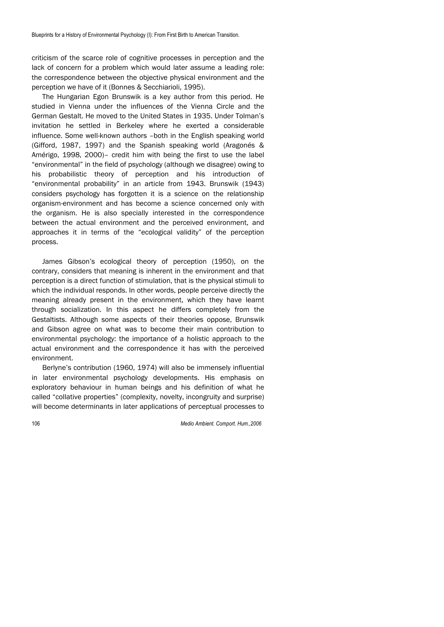criticism of the scarce role of cognitive processes in perception and the lack of concern for a problem which would later assume a leading role: the correspondence between the objective physical environment and the perception we have of it (Bonnes & Secchiarioli, 1995).

The Hungarian Egon Brunswik is a key author from this period. He studied in Vienna under the influences of the Vienna Circle and the German Gestalt. He moved to the United States in 1935. Under Tolman's invitation he settled in Berkeley where he exerted a considerable influence. Some well-known authors –both in the English speaking world (Gifford, 1987, 1997) and the Spanish speaking world (Aragonés & Amérigo, 1998, 2000)– credit him with being the first to use the label "environmental" in the field of psychology (although we disagree) owing to his probabilistic theory of perception and his introduction of "environmental probability" in an article from 1943. Brunswik (1943) considers psychology has forgotten it is a science on the relationship organism-environment and has become a science concerned only with the organism. He is also specially interested in the correspondence between the actual environment and the perceived environment, and approaches it in terms of the "ecological validity" of the perception process.

James Gibson's ecological theory of perception (1950), on the contrary, considers that meaning is inherent in the environment and that perception is a direct function of stimulation, that is the physical stimuli to which the individual responds. In other words, people perceive directly the meaning already present in the environment, which they have learnt through socialization. In this aspect he differs completely from the Gestaltists. Although some aspects of their theories oppose, Brunswik and Gibson agree on what was to become their main contribution to environmental psychology: the importance of a holistic approach to the actual environment and the correspondence it has with the perceived environment.

Berlyne's contribution (1960, 1974) will also be immensely influential in later environmental psychology developments. His emphasis on exploratory behaviour in human beings and his definition of what he called "collative properties" (complexity, novelty, incongruity and surprise) will become determinants in later applications of perceptual processes to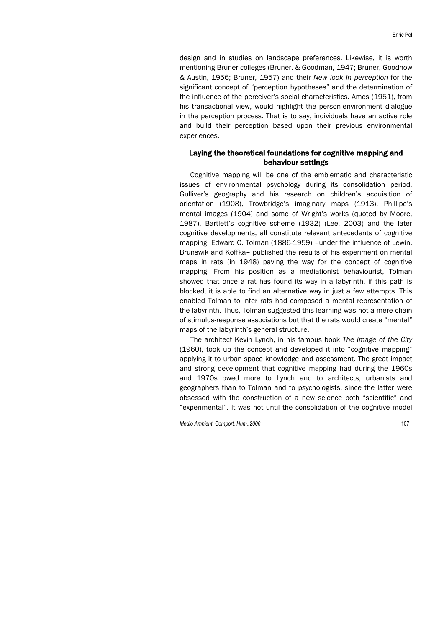design and in studies on landscape preferences. Likewise, it is worth mentioning Bruner colleges (Bruner. & Goodman, 1947; Bruner, Goodnow & Austin, 1956; Bruner, 1957) and their *New look in perception* for the significant concept of "perception hypotheses" and the determination of the influence of the perceiver's social characteristics. Ames (1951), from his transactional view, would highlight the person-environment dialogue in the perception process. That is to say, individuals have an active role and build their perception based upon their previous environmental experiences.

# Laying the theoretical foundations for cognitive mapping and behaviour settings

Cognitive mapping will be one of the emblematic and characteristic issues of environmental psychology during its consolidation period. Gulliver's geography and his research on children's acquisition of orientation (1908), Trowbridge's imaginary maps (1913), Phillipe's mental images (1904) and some of Wright's works (quoted by Moore, 1987), Bartlett's cognitive scheme (1932) (Lee, 2003) and the later cognitive developments, all constitute relevant antecedents of cognitive mapping. Edward C. Tolman (1886-1959) - under the influence of Lewin, Brunswik and Koffka– published the results of his experiment on mental maps in rats (in 1948) paving the way for the concept of cognitive mapping. From his position as a mediationist behaviourist, Tolman showed that once a rat has found its way in a labyrinth, if this path is blocked, it is able to find an alternative way in just a few attempts. This enabled Tolman to infer rats had composed a mental representation of the labyrinth. Thus, Tolman suggested this learning was not a mere chain of stimulus-response associations but that the rats would create "mental" maps of the labyrinth's general structure.

The architect Kevin Lynch, in his famous book *The Image of the City* (1960), took up the concept and developed it into "cognitive mapping" applying it to urban space knowledge and assessment. The great impact and strong development that cognitive mapping had during the 1960s and 1970s owed more to Lynch and to architects, urbanists and geographers than to Tolman and to psychologists, since the latter were obsessed with the construction of a new science both "scientific" and "experimental". It was not until the consolidation of the cognitive model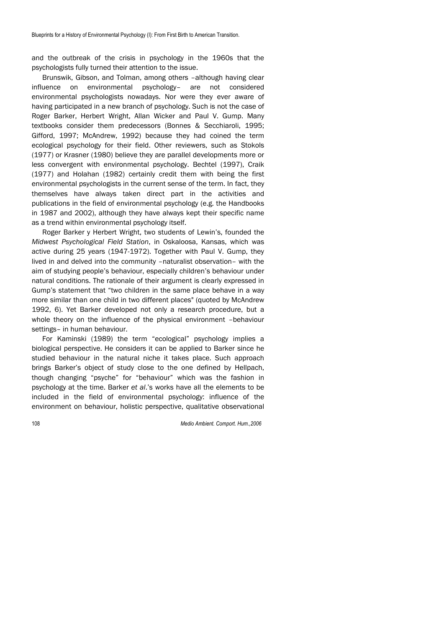and the outbreak of the crisis in psychology in the 1960s that the psychologists fully turned their attention to the issue.

Brunswik, Gibson, and Tolman, among others –although having clear influence on environmental psychology– are not considered environmental psychologists nowadays. Nor were they ever aware of having participated in a new branch of psychology. Such is not the case of Roger Barker, Herbert Wright, Allan Wicker and Paul V. Gump. Many textbooks consider them predecessors (Bonnes & Secchiaroli, 1995; Gifford, 1997; McAndrew, 1992) because they had coined the term ecological psychology for their field. Other reviewers, such as Stokols (1977) or Krasner (1980) believe they are parallel developments more or less convergent with environmental psychology. Bechtel (1997), Craik (1977) and Holahan (1982) certainly credit them with being the first environmental psychologists in the current sense of the term. In fact, they themselves have always taken direct part in the activities and publications in the field of environmental psychology (e.g. the Handbooks in 1987 and 2002), although they have always kept their specific name as a trend within environmental psychology itself.

Roger Barker y Herbert Wright, two students of Lewin's, founded the *Midwest Psychological Field Station*, in Oskaloosa, Kansas, which was active during 25 years (1947-1972). Together with Paul V. Gump, they lived in and delved into the community –naturalist observation– with the aim of studying people's behaviour, especially children's behaviour under natural conditions. The rationale of their argument is clearly expressed in Gump's statement that "two children in the same place behave in a way more similar than one child in two different places" (quoted by McAndrew 1992, 6). Yet Barker developed not only a research procedure, but a whole theory on the influence of the physical environment –behaviour settings– in human behaviour.

For Kaminski (1989) the term "ecological" psychology implies a biological perspective. He considers it can be applied to Barker since he studied behaviour in the natural niche it takes place. Such approach brings Barker's object of study close to the one defined by Hellpach, though changing "psyche" for "behaviour" which was the fashion in psychology at the time. Barker *et al*.'s works have all the elements to be included in the field of environmental psychology: influence of the environment on behaviour, holistic perspective, qualitative observational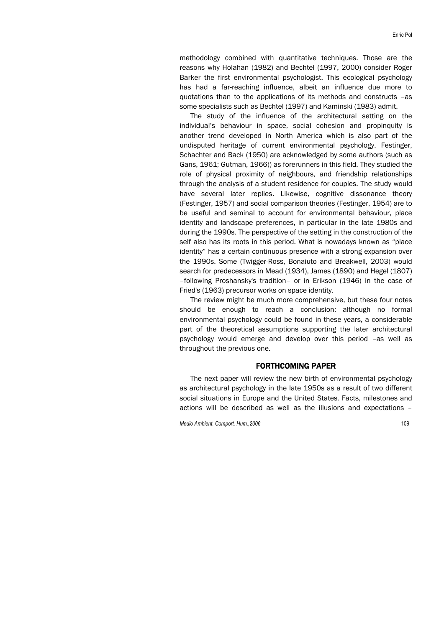methodology combined with quantitative techniques. Those are the reasons why Holahan (1982) and Bechtel (1997, 2000) consider Roger Barker the first environmental psychologist. This ecological psychology has had a far-reaching influence, albeit an influence due more to quotations than to the applications of its methods and constructs –as some specialists such as Bechtel (1997) and Kaminski (1983) admit.

The study of the influence of the architectural setting on the individual's behaviour in space, social cohesion and propinquity is another trend developed in North America which is also part of the undisputed heritage of current environmental psychology. Festinger, Schachter and Back (1950) are acknowledged by some authors (such as Gans, 1961; Gutman, 1966)) as forerunners in this field. They studied the role of physical proximity of neighbours, and friendship relationships through the analysis of a student residence for couples. The study would have several later replies. Likewise, cognitive dissonance theory (Festinger, 1957) and social comparison theories (Festinger, 1954) are to be useful and seminal to account for environmental behaviour, place identity and landscape preferences, in particular in the late 1980s and during the 1990s. The perspective of the setting in the construction of the self also has its roots in this period. What is nowadays known as "place identity" has a certain continuous presence with a strong expansion over the 1990s. Some (Twigger-Ross, Bonaiuto and Breakwell, 2003) would search for predecessors in Mead (1934), James (1890) and Hegel (1807) –following Proshansky's tradition– or in Erikson (1946) in the case of Fried's (1963) precursor works on space identity.

The review might be much more comprehensive, but these four notes should be enough to reach a conclusion: although no formal environmental psychology could be found in these years, a considerable part of the theoretical assumptions supporting the later architectural psychology would emerge and develop over this period –as well as throughout the previous one.

# FORTHCOMING PAPER

The next paper will review the new birth of environmental psychology as architectural psychology in the late 1950s as a result of two different social situations in Europe and the United States. Facts, milestones and actions will be described as well as the illusions and expectations –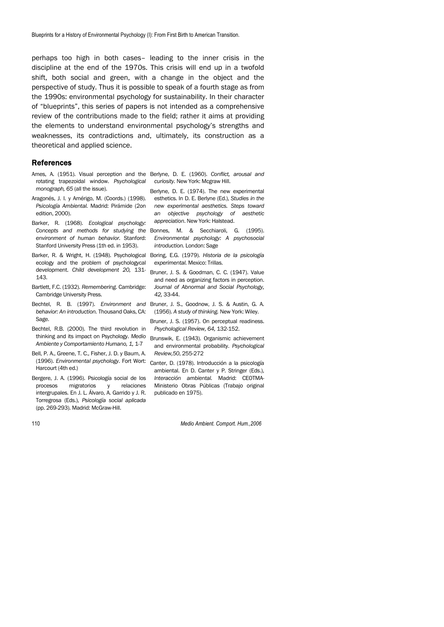perhaps too high in both cases– leading to the inner crisis in the discipline at the end of the 1970s. This crisis will end up in a twofold shift, both social and green, with a change in the object and the perspective of study. Thus it is possible to speak of a fourth stage as from the 1990s: environmental psychology for sustainability. In their character of "blueprints", this series of papers is not intended as a comprehensive review of the contributions made to the field; rather it aims at providing the elements to understand environmental psychology's strengths and weaknesses, its contradictions and, ultimately, its construction as a theoretical and applied science.

#### References

- Ames, A. (1951). Visual perception and the Berlyne, D. E. (1960). *Conflict, arousal and*  rotating trapezoidal window. *Psychological curiosity.* New York: Mcgraw Hill. *monograph, 65* (all the issue).
- Aragonés, J. I. y Amérigo, M. (Coords.) (1998). esthetics. In D. E. Berlyne (Ed.), *Studies in the*  edition, 2000).
- Barker, R. (1968). *Ecological psychology:*  Concepts and methods for studying the Bonnes, M. & Secchiaroli, G. (1995). *environment of human behavior.* Stanford: Stanford University Press (1th ed. in 1953).
- ecology and the problem of psychologycal development. *Child development 20,* 131- 143.
- Bartlett, F.C. (1932). *Remembering.* Cambridge: Cambridge University Press.
- Bechtel, R. B. (1997). *Environment and*  Bruner, J. S., Goodnow, J. S. & Austin, G. A. *behavior: An introduction.* Thousand Oaks, CA: Sage.
- Bechtel, R.B. (2000). The third revolution in thinking and its impact on Psychology. *Medio*  Brunswik, E. (1943). Organismic achievement *Ambiente y Comportamiento Humano, 1,* 1-7
- Bell, P. A., Greene, T. C., Fisher, J. D. y Baum, A. (1996). *Environmental psychology*. Fort Wort: Canter, D. (1978). Introducción a la psicología Harcourt (4th ed.)
- Bergere, J. A. (1996). Psicología social de los procesos migratorios y relaciones intergrupales. En J. L. Álvaro, A. Garrido y J. R. Torregrosa (Eds.), *Psicología social aplicada* (pp. 269-293). Madrid: McGraw-Hill.
- *Psicología Ambiental.* Madrid: Pirámide (2on *new experimental aesthetics. Steps toward*  Berlyne, D. E. (1974). The new experimental *an objective psychology of aesthetic appreciation*. New York: Halstead.
	- *Environmental psychology: A psychosocial introduction.* London: Sage
- Barker, R. & Wright, H. (1948). Psychological Boring, E.G. (1979). *Historia de la psicología experimental.* Mexico: Trillas.
	- Bruner, J. S. & Goodman, C. C. (1947). Value and need as organizing factors in perception. *Journal of Abnormal and Social Psychology, 42,* 33-44.
	- (1956). *A study of thinking.* New York: Wiley.
	- Bruner, J. S. (1957). On perceptual readiness. *Psychological Review, 64,* 132-152.
	- and environmental probability. *Psychological Review,50*, 255-272
	- ambiental. En D. Canter y P. Stringer (Eds.), *Interacción ambiental.* Madrid: CEOTMA-Ministerio Obras Públicas (Trabajo original publicado en 1975).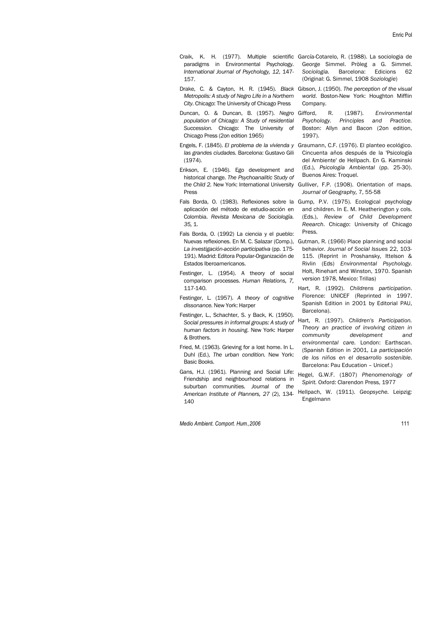- Craik, K. H. (1977). Multiple scientific García-Cotarelo, R. (1988). La sociologia de paradigms in Environmental Psychology. *International Journal of Psychology, 12*, 147- 157.
- *Metropolis: A study of Negro Life in a Northern City*. Chicago: The University of Chicago Press
- Duncan, O. & Duncan, B. (1957). *Negro population of Chicago: A Study of residential Succession.* Chicago: The University of Chicago Press (2on edition 1965)
- *las grandes ciudades.* Barcelona: Gustavo Gili (1974).
- Erikson, E. (1946). Ego development and historical change. *The Psychoanalitic Study of the Child 2.* New York: International University Press
- Fals Borda, O. (1983). Reflexiones sobre la aplicación del método de estudio-acción en Colombia. *Revista Mexicana de Sociología. 35,* 1.
- Fals Borda, O. (1992) La ciencia y el pueblo: Nuevas reflexiones. En M. C. Salazar (Comp.), *La investigación-acción participativa* (pp. 175- 191). Madrid: Editora Popular-Organización de Estados Iberoamericanos.
- Festinger, L. (1954). A theory of social comparison processes. *Human Relations, 7,*  117-140.
- Festinger, L. (1957). *A theory of cognitive dissonance.* New York: Harper
- Festinger, L., Schachter, S. y Back, K. (1950). *Social pressures in informal groups: A study of human factors in housing*. New York: Harper & Brothers.
- Fried, M. (1963). Grieving for a lost home. In L. Duhl (Ed.), *The urban condition.* New York: Basic Books.
- Gans, H.J. (1961). Planning and Social Life: Friendship and neighbourhood relations in suburban communities. *Journal of the American Institute of Planners, 27* (2), 134- 140

- George Simmel. Pròleg a G. Simmel. *Sociologia.* Barcelona: Edicions 62 (Original: G. Simmel, 1908 *Soziologie*)
- Drake, C. & Cayton, H. R. (1945). *Black*  Gibson, J. (1950). *The perception of the visual world*. Boston-New York: Houghton Mifflin Company.
	- Gifford, R. (1987). *Environmental Psychology. Principles and Practice.*  Boston: Allyn and Bacon (2on edition, 1997).
- Engels, F. (1845). *El problema de la vivienda y*  Graumann, C.F. (1976). El planteo ecológico. Cincuenta años después de la 'Psicología del Ambiente' de Hellpach. En G. Kaminski (Ed.), *Psicología Ambiental* (pp. 25-30). Buenos Aires: Troquel.
	- Gulliver, F.P. (1908). Orientation of maps. *Journal of Geography,* 7, 55-58
	- Gump, P.V. (1975). Ecological psychology and children. In E. M. Heatherington y cols. (Eds.), *Review of Child Development Reearch*. Chicago: University of Chicago Press.
	- Gutman, R. (1966) Place planning and social behavior. *Journal of Social Issues* 22, 103- 115. (Reprint in Proshansky, Ittelson & Rivlin (Eds) *Environmental Psychology.*  Holt, Rinehart and Winston, 1970. Spanish version 1978, Mexico: Trillas)
	- Hart, R. (1992). *Childrens participation*. Florence: UNICEF (Reprinted in 1997. Spanish Edition in 2001 by Editorial PAU, Barcelona).
	- Hart, R. (1997). *Children's Participation. Theory an practice of involving citizen in community development and environmental care.* London: Earthscan. (Spanish Edition in 2001, *La participación de los niños en el desarrollo sostenible*. Barcelona: Pau Education – Unicef.)
	- Hegel, G.W.F. (1807) *Phenomenology of Spirit.* Oxford: Clarendon Press, 1977
	- Hellpach, W. (1911). *Geopsyche.* Leipzig: Engelmann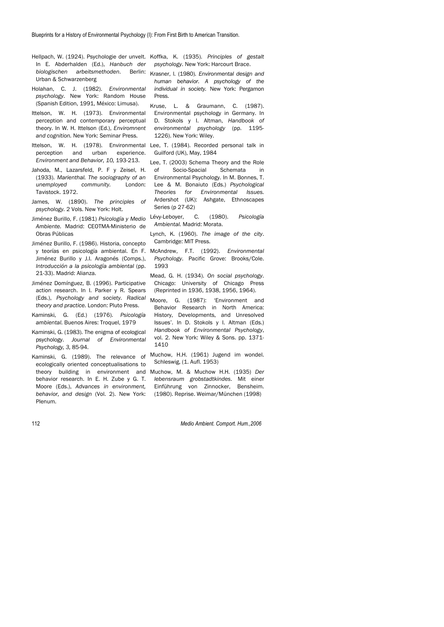- In E. Abderhalden (Ed.), *Hanbuch der biologischen arbeitsmethoden*. Berlin: Urban & Schwarzenberg
- Holahan, C. J. (1982). *Environmental psychology*. New York: Random House (Spanish Edition, 1991, México: Limusa).
- Ittelson, W. H. (1973). Environmental perception and contemporary perceptual theory. In W. H. Ittelson (Ed.), *Enviromnent and cognition.* New York: Seminar Press.
- Ittelson, W. H. (1978). Environmental Lee, T. (1984). Recorded personal talk in perception and urban experience. *Environment and Behavior, 10,* 193-213.
- Jahoda, M., Lazarsfeld, P. F y Zeisel, H. (1933). *Marienthal. The sociography of an unemployed community.* London: Tavistock. 1972.
- James, W. (1890). *The principles of psychology.* 2 Vols. New York: Holt.
- Jiménez Burillo, F. (1981) *Psicología y Medio Ambiente.* Madrid: CEOTMA-Ministerio de Obras Públicas
- Jiménez Burillo, F. (1986). Historia, concepto y teorías en psicología ambiental. En F. Jiménez Burillo y J.I. Aragonés (Comps.), *Introducción a la psicología ambiental* (pp. 21-33). Madrid: Alianza.
- Jiménez Domínguez, B. (1996). Participative action research. In I. Parker y R. Spears (Eds.), *Psychology and society. Radical theory and practice.* London: Pluto Press.
- Kaminski, G. (Ed.) (1976). *Psicología ambiental.* Buenos Aires: Troquel, 1979
- Kaminski, G. (1983). The enigma of ecological psychology. *Journal of Environmental Psychology, 3,* 85-94.
- Kaminski, G. (1989). The relevance of ecologically oriented conceptualisations to behavior research. In E. H. Zube y G. T. Moore (Eds.), *Advances in environment, behavior, and design* (Vol. 2). New York: Plenum.

Hellpach, W. (1924). Psychologie der unvelt. Koffka, K. (1935). *Principles of gestalt psychology*. New York: Harcourt Brace.

- Krasner, l. (1980). *Environmental design and human behavior. A psychology of the individual in society.* New York: Pergamon Press.
- Kruse, L. & Graumann, C. (1987). Environmental psychology in Germany. In D. Stokols y I. Altman, *Handbook of environmental psychology* (pp. 1195- 1226). New York: Wiley.
- Guilford (UK), May, 1984
- Lee, T. (2003) Schema Theory and the Role of Socio-Spacial Schemata in Environmental Psychology. In M. Bonnes, T. Lee & M. Bonaiuto (Eds.) *Psychological Theories for Environmental Issues.*  Ardershot (UK): Ashgate, Ethnoscapes Series (p 27-62)
- Lévy-Leboyer, C. (1980). *Psicología Ambiental.* Madrid: Morata.
- Lynch, K. (1960). *The image of the city*. Cambridge: MIT Press.
- McAndrew, F.T. (1992). *Environmental Psychology*. Pacific Grove: Brooks/Cole. 1993
- Mead, G. H. (1934). *On social psychology*. Chicago: University of Chicago Press (Reprinted in 1936, 1938, 1956, 1964).
- Moore, G. (1987): 'Environment and Behavior Research in North America: History, Developments, and Unresolved Issues'. In D. Stokols y I. Altman (Eds.) *Handbook of Environmental Psychology*, vol. 2. New York: Wiley & Sons. pp. 1371- 1410
- Muchow, H.H. (1961) Jugend im wondel. Schleswig, (1. Aufl. 1953)
- theory building in environment and Muchow, M. & Muchow H.H. (1935) *Der lebensraum grobstadtkindes*. Mit einer Einführung von Zinnocker, Bensheim. (1980). Reprise. Weimar/München (1998)